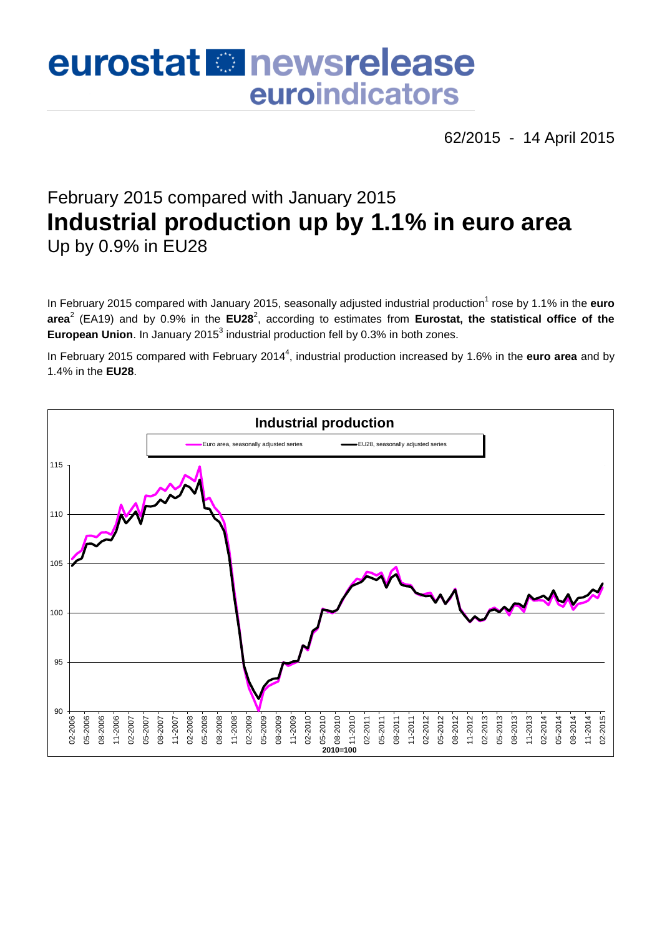# eurostat **Et newsrelease** euroindicators

62/2015 - 14 April 2015

## February 2015 compared with January 2015 **Industrial production up by 1.1% in euro area** Up by 0.9% in EU28

In February 2015 compared with January 2015, seasonally adjusted industrial production<sup>1</sup> rose by 1.1% in the **euro** area<sup>2</sup> (EA19) and by 0.9% in the EU28<sup>2</sup>, according to estimates from Eurostat, the statistical office of the European Union. In January 2015<sup>3</sup> industrial production fell by 0.3% in both zones.

In February 2015 compared with February 2014<sup>4</sup>, industrial production increased by 1.6% in the **euro area** and by 1.4% in the **EU28**.

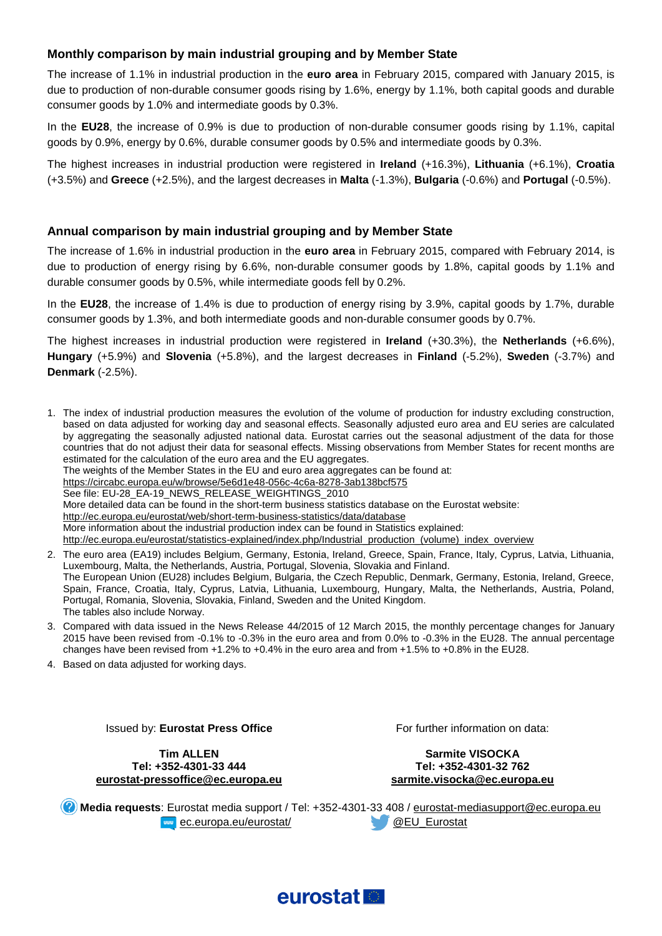#### **Monthly comparison by main industrial grouping and by Member State**

The increase of 1.1% in industrial production in the **euro area** in February 2015, compared with January 2015, is due to production of non-durable consumer goods rising by 1.6%, energy by 1.1%, both capital goods and durable consumer goods by 1.0% and intermediate goods by 0.3%.

In the **EU28**, the increase of 0.9% is due to production of non-durable consumer goods rising by 1.1%, capital goods by 0.9%, energy by 0.6%, durable consumer goods by 0.5% and intermediate goods by 0.3%.

The highest increases in industrial production were registered in **Ireland** (+16.3%), **Lithuania** (+6.1%), **Croatia** (+3.5%) and **Greece** (+2.5%), and the largest decreases in **Malta** (-1.3%), **Bulgaria** (-0.6%) and **Portugal** (-0.5%).

#### **Annual comparison by main industrial grouping and by Member State**

The increase of 1.6% in industrial production in the **euro area** in February 2015, compared with February 2014, is due to production of energy rising by 6.6%, non-durable consumer goods by 1.8%, capital goods by 1.1% and durable consumer goods by 0.5%, while intermediate goods fell by 0.2%.

In the **EU28**, the increase of 1.4% is due to production of energy rising by 3.9%, capital goods by 1.7%, durable consumer goods by 1.3%, and both intermediate goods and non-durable consumer goods by 0.7%.

The highest increases in industrial production were registered in **Ireland** (+30.3%), the **Netherlands** (+6.6%), **Hungary** (+5.9%) and **Slovenia** (+5.8%), and the largest decreases in **Finland** (-5.2%), **Sweden** (-3.7%) and **Denmark** (-2.5%).

- 1. The index of industrial production measures the evolution of the volume of production for industry excluding construction, based on data adjusted for working day and seasonal effects. Seasonally adjusted euro area and EU series are calculated by aggregating the seasonally adjusted national data. Eurostat carries out the seasonal adjustment of the data for those countries that do not adjust their data for seasonal effects. Missing observations from Member States for recent months are estimated for the calculation of the euro area and the EU aggregates. The weights of the Member States in the EU and euro area aggregates can be found at: <https://circabc.europa.eu/w/browse/5e6d1e48-056c-4c6a-8278-3ab138bcf575> See file: EU-28\_EA-19\_NEWS\_RELEASE\_WEIGHTINGS\_2010 More detailed data can be found in the short-term business statistics database on the Eurostat website: <http://ec.europa.eu/eurostat/web/short-term-business-statistics/data/database> More information about the industrial production index can be found in Statistics explained: [http://ec.europa.eu/eurostat/statistics-explained/index.php/Industrial\\_production\\_\(volume\)\\_index\\_overview](http://ec.europa.eu/eurostat/statistics-explained/index.php/Industrial_production_(volume)_index_overview)
- 2. The euro area (EA19) includes Belgium, Germany, Estonia, Ireland, Greece, Spain, France, Italy, Cyprus, Latvia, Lithuania, Luxembourg, Malta, the Netherlands, Austria, Portugal, Slovenia, Slovakia and Finland. The European Union (EU28) includes Belgium, Bulgaria, the Czech Republic, Denmark, Germany, Estonia, Ireland, Greece, Spain, France, Croatia, Italy, Cyprus, Latvia, Lithuania, Luxembourg, Hungary, Malta, the Netherlands, Austria, Poland, Portugal, Romania, Slovenia, Slovakia, Finland, Sweden and the United Kingdom. The tables also include Norway.
- 3. Compared with data issued in the News Release 44/2015 of 12 March 2015, the monthly percentage changes for January 2015 have been revised from -0.1% to -0.3% in the euro area and from 0.0% to -0.3% in the EU28. The annual percentage changes have been revised from +1.2% to +0.4% in the euro area and from +1.5% to +0.8% in the EU28.
- 4. Based on data adjusted for working days.

Issued by: **Eurostat Press Office**

**Tim ALLEN Tel: +352-4301-33 444 [eurostat-pressoffice@ec.europa.eu](mailto:eurostat-pressoffice@ec.europa.eu)** For further information on data:

**Sarmite VISOCKA Tel: +352-4301-32 762 [sarmite.visocka@ec.europa.eu](mailto:sarmite.visocka@ec.europa.eu)**

**Media requests**: Eurostat media support / Tel: +352-4301-33 408 / [eurostat-mediasupport@ec.europa.eu](mailto:eurostat-mediasupport@ec.europa.eu) **EXAMPLE EXAMPLE 20 ACCELL** Eurostat CONTENTS CONTENTS AND RELIGIOUS CONTENTS OF DEVICE AND RELIGIOUS

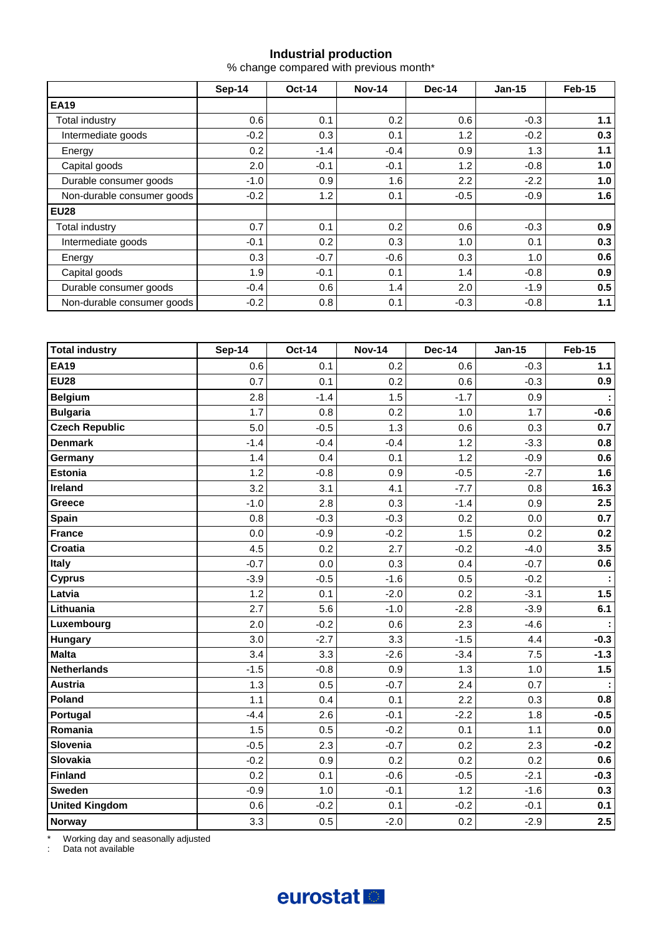#### **Industrial production**

% change compared with previous month\*

|                            | Sep-14 | <b>Oct-14</b> | <b>Nov-14</b> | <b>Dec-14</b> | $Jan-15$ | Feb-15 |  |
|----------------------------|--------|---------------|---------------|---------------|----------|--------|--|
| <b>EA19</b>                |        |               |               |               |          |        |  |
| Total industry             | 0.6    | 0.1           | 0.2           | 0.6           | $-0.3$   | 1.1    |  |
| Intermediate goods         | $-0.2$ | 0.3           | 0.1           | 1.2           | $-0.2$   | 0.3    |  |
| Energy                     | 0.2    | $-1.4$        | $-0.4$        | 0.9           | 1.3      | 1.1    |  |
| Capital goods              | 2.0    | $-0.1$        | $-0.1$        | 1.2           | $-0.8$   | 1.0    |  |
| Durable consumer goods     | $-1.0$ | 0.9           | 1.6           | 2.2           | $-2.2$   | 1.0    |  |
| Non-durable consumer goods | $-0.2$ | 1.2           | 0.1           | $-0.5$        | $-0.9$   | 1.6    |  |
| <b>EU28</b>                |        |               |               |               |          |        |  |
| Total industry             | 0.7    | 0.1           | 0.2           | 0.6           | $-0.3$   | 0.9    |  |
| Intermediate goods         | $-0.1$ | 0.2           | 0.3           | 1.0           | 0.1      | 0.3    |  |
| Energy                     | 0.3    | $-0.7$        | $-0.6$        | 0.3           | 1.0      | 0.6    |  |
| Capital goods              | 1.9    | $-0.1$        | 0.1           | 1.4           | $-0.8$   | 0.9    |  |
| Durable consumer goods     | $-0.4$ | 0.6           | 1.4           | 2.0           | $-1.9$   | 0.5    |  |
| Non-durable consumer goods | $-0.2$ | 0.8           | 0.1           | $-0.3$        | $-0.8$   | 1.1    |  |

| <b>Total industry</b> | <b>Sep-14</b> | <b>Oct-14</b> | <b>Nov-14</b> | <b>Dec-14</b> | <b>Jan-15</b> | <b>Feb-15</b> |
|-----------------------|---------------|---------------|---------------|---------------|---------------|---------------|
| <b>EA19</b>           | 0.6           | 0.1           | 0.2           | 0.6           | $-0.3$        | $1.1$         |
| <b>EU28</b>           | 0.7           | 0.1           | 0.2           | 0.6           | $-0.3$        | 0.9           |
| <b>Belgium</b>        | 2.8           | $-1.4$        | 1.5           | $-1.7$        | 0.9           |               |
| <b>Bulgaria</b>       | 1.7           | 0.8           | 0.2           | 1.0           | 1.7           | $-0.6$        |
| <b>Czech Republic</b> | 5.0           | $-0.5$        | 1.3           | 0.6           | 0.3           | 0.7           |
| <b>Denmark</b>        | $-1.4$        | $-0.4$        | $-0.4$        | 1.2           | $-3.3$        | 0.8           |
| Germany               | 1.4           | 0.4           | 0.1           | 1.2           | $-0.9$        | 0.6           |
| <b>Estonia</b>        | 1.2           | $-0.8$        | 0.9           | $-0.5$        | $-2.7$        | 1.6           |
| Ireland               | 3.2           | 3.1           | 4.1           | $-7.7$        | 0.8           | 16.3          |
| Greece                | $-1.0$        | 2.8           | 0.3           | $-1.4$        | 0.9           | 2.5           |
| <b>Spain</b>          | 0.8           | $-0.3$        | $-0.3$        | 0.2           | 0.0           | 0.7           |
| <b>France</b>         | 0.0           | $-0.9$        | $-0.2$        | 1.5           | 0.2           | 0.2           |
| Croatia               | 4.5           | 0.2           | 2.7           | $-0.2$        | $-4.0$        | 3.5           |
| Italy                 | $-0.7$        | 0.0           | 0.3           | 0.4           | $-0.7$        | 0.6           |
| <b>Cyprus</b>         | $-3.9$        | $-0.5$        | $-1.6$        | 0.5           | $-0.2$        | ÷             |
| Latvia                | 1.2           | 0.1           | $-2.0$        | 0.2           | $-3.1$        | 1.5           |
| Lithuania             | 2.7           | 5.6           | $-1.0$        | $-2.8$        | $-3.9$        | 6.1           |
| Luxembourg            | 2.0           | $-0.2$        | 0.6           | 2.3           | $-4.6$        |               |
| Hungary               | 3.0           | $-2.7$        | 3.3           | $-1.5$        | 4.4           | $-0.3$        |
| <b>Malta</b>          | 3.4           | 3.3           | $-2.6$        | $-3.4$        | 7.5           | $-1.3$        |
| <b>Netherlands</b>    | $-1.5$        | $-0.8$        | 0.9           | 1.3           | 1.0           | 1.5           |
| <b>Austria</b>        | 1.3           | 0.5           | $-0.7$        | 2.4           | 0.7           |               |
| Poland                | 1.1           | 0.4           | 0.1           | 2.2           | 0.3           | 0.8           |
| Portugal              | $-4.4$        | 2.6           | $-0.1$        | $-2.2$        | 1.8           | $-0.5$        |
| Romania               | 1.5           | 0.5           | $-0.2$        | 0.1           | 1.1           | $0.0\,$       |
| Slovenia              | $-0.5$        | 2.3           | $-0.7$        | 0.2           | 2.3           | $-0.2$        |
| <b>Slovakia</b>       | $-0.2$        | 0.9           | 0.2           | 0.2           | 0.2           | 0.6           |
| <b>Finland</b>        | 0.2           | 0.1           | $-0.6$        | $-0.5$        | $-2.1$        | $-0.3$        |
| Sweden                | $-0.9$        | 1.0           | $-0.1$        | 1.2           | $-1.6$        | 0.3           |
| <b>United Kingdom</b> | 0.6           | $-0.2$        | 0.1           | $-0.2$        | $-0.1$        | 0.1           |
| Norway                | 3.3           | 0.5           | $-2.0$        | 0.2           | $-2.9$        | 2.5           |

\* Working day and seasonally adjusted

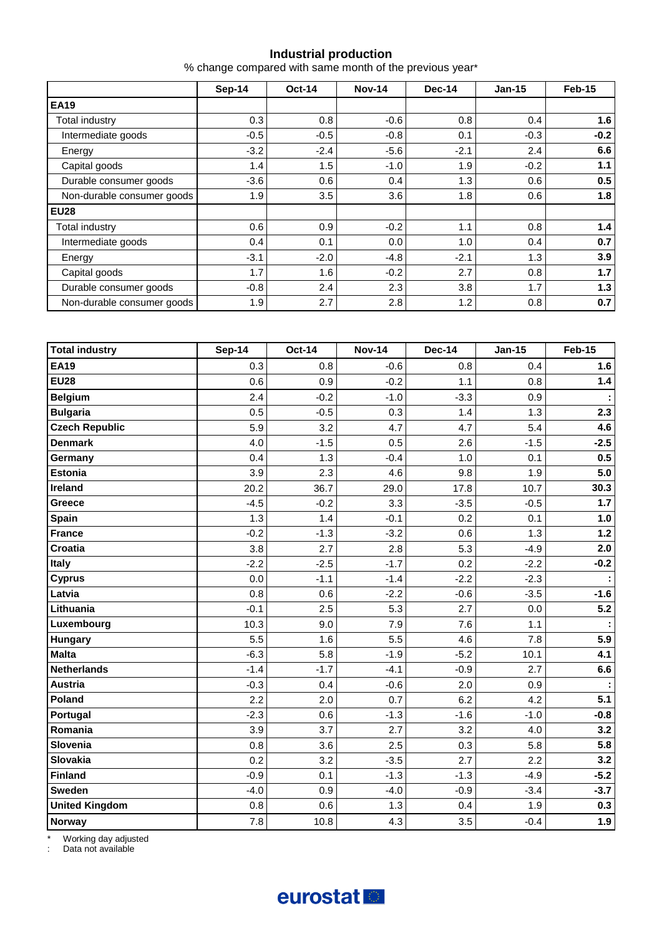#### **Industrial production**

% change compared with same month of the previous year\*

|                            | Sep-14 | <b>Oct-14</b> | <b>Nov-14</b> | Dec-14 | $Jan-15$ | Feb-15 |  |
|----------------------------|--------|---------------|---------------|--------|----------|--------|--|
| <b>EA19</b>                |        |               |               |        |          |        |  |
| <b>Total industry</b>      | 0.3    | 0.8           | $-0.6$        | 0.8    | 0.4      | 1.6    |  |
| Intermediate goods         | $-0.5$ | $-0.5$        | $-0.8$        | 0.1    | $-0.3$   | $-0.2$ |  |
| Energy                     | $-3.2$ | $-2.4$        | $-5.6$        | $-2.1$ | 2.4      | 6.6    |  |
| Capital goods              | 1.4    | 1.5           | $-1.0$        | 1.9    | $-0.2$   | 1.1    |  |
| Durable consumer goods     | $-3.6$ | 0.6           | 0.4           | 1.3    | 0.6      | 0.5    |  |
| Non-durable consumer goods | 1.9    | 3.5           | 3.6           | 1.8    | 0.6      | 1.8    |  |
| <b>EU28</b>                |        |               |               |        |          |        |  |
| Total industry             | 0.6    | 0.9           | $-0.2$        | 1.1    | 0.8      | 1.4    |  |
| Intermediate goods         | 0.4    | 0.1           | 0.0           | 1.0    | 0.4      | 0.7    |  |
| Energy                     | $-3.1$ | $-2.0$        | $-4.8$        | $-2.1$ | 1.3      | 3.9    |  |
| Capital goods              | 1.7    | 1.6           | $-0.2$        | 2.7    | 0.8      | 1.7    |  |
| Durable consumer goods     | $-0.8$ | 2.4           | 2.3           | 3.8    | 1.7      | 1.3    |  |
| Non-durable consumer goods | 1.9    | 2.7           | 2.8           | 1.2    | 0.8      | 0.7    |  |

| <b>Total industry</b> | <b>Sep-14</b> | <b>Oct-14</b> | <b>Nov-14</b> | <b>Dec-14</b> | <b>Jan-15</b> | <b>Feb-15</b> |
|-----------------------|---------------|---------------|---------------|---------------|---------------|---------------|
| <b>EA19</b>           | 0.3           | 0.8           | $-0.6$        | 0.8           | 0.4           | 1.6           |
| <b>EU28</b>           | 0.6           | 0.9           | $-0.2$        | 1.1           | 0.8           | $1.4$         |
| <b>Belgium</b>        | 2.4           | $-0.2$        | $-1.0$        | $-3.3$        | 0.9           |               |
| <b>Bulgaria</b>       | 0.5           | $-0.5$        | 0.3           | 1.4           | 1.3           | 2.3           |
| <b>Czech Republic</b> | 5.9           | 3.2           | 4.7           | 4.7           | 5.4           | 4.6           |
| <b>Denmark</b>        | 4.0           | $-1.5$        | 0.5           | 2.6           | $-1.5$        | $-2.5$        |
| Germany               | 0.4           | 1.3           | $-0.4$        | 1.0           | 0.1           | 0.5           |
| <b>Estonia</b>        | 3.9           | 2.3           | 4.6           | 9.8           | 1.9           | 5.0           |
| Ireland               | 20.2          | 36.7          | 29.0          | 17.8          | 10.7          | 30.3          |
| Greece                | $-4.5$        | $-0.2$        | 3.3           | $-3.5$        | $-0.5$        | $1.7$         |
| Spain                 | 1.3           | 1.4           | $-0.1$        | 0.2           | 0.1           | 1.0           |
| <b>France</b>         | $-0.2$        | $-1.3$        | $-3.2$        | 0.6           | 1.3           | $1.2$         |
| Croatia               | 3.8           | 2.7           | 2.8           | 5.3           | $-4.9$        | 2.0           |
| <b>Italy</b>          | $-2.2$        | $-2.5$        | $-1.7$        | 0.2           | $-2.2$        | $-0.2$        |
| <b>Cyprus</b>         | 0.0           | $-1.1$        | $-1.4$        | $-2.2$        | $-2.3$        |               |
| Latvia                | 0.8           | 0.6           | $-2.2$        | $-0.6$        | $-3.5$        | $-1.6$        |
| Lithuania             | $-0.1$        | 2.5           | 5.3           | 2.7           | 0.0           | 5.2           |
| Luxembourg            | 10.3          | 9.0           | 7.9           | 7.6           | 1.1           |               |
| Hungary               | 5.5           | 1.6           | 5.5           | 4.6           | 7.8           | 5.9           |
| <b>Malta</b>          | $-6.3$        | 5.8           | $-1.9$        | $-5.2$        | 10.1          | 4.1           |
| <b>Netherlands</b>    | $-1.4$        | $-1.7$        | $-4.1$        | $-0.9$        | 2.7           | 6.6           |
| <b>Austria</b>        | $-0.3$        | 0.4           | $-0.6$        | 2.0           | 0.9           |               |
| Poland                | 2.2           | 2.0           | 0.7           | 6.2           | 4.2           | 5.1           |
| Portugal              | $-2.3$        | 0.6           | $-1.3$        | $-1.6$        | $-1.0$        | $-0.8$        |
| Romania               | 3.9           | 3.7           | 2.7           | 3.2           | 4.0           | 3.2           |
| Slovenia              | 0.8           | 3.6           | 2.5           | 0.3           | 5.8           | 5.8           |
| Slovakia              | 0.2           | 3.2           | $-3.5$        | 2.7           | 2.2           | 3.2           |
| <b>Finland</b>        | $-0.9$        | 0.1           | $-1.3$        | $-1.3$        | $-4.9$        | $-5.2$        |
| <b>Sweden</b>         | $-4.0$        | 0.9           | $-4.0$        | $-0.9$        | $-3.4$        | $-3.7$        |
| <b>United Kingdom</b> | 0.8           | 0.6           | 1.3           | 0.4           | 1.9           | 0.3           |
| Norway                | 7.8           | 10.8          | 4.3           | 3.5           | $-0.4$        | 1.9           |

\* Working day adjusted

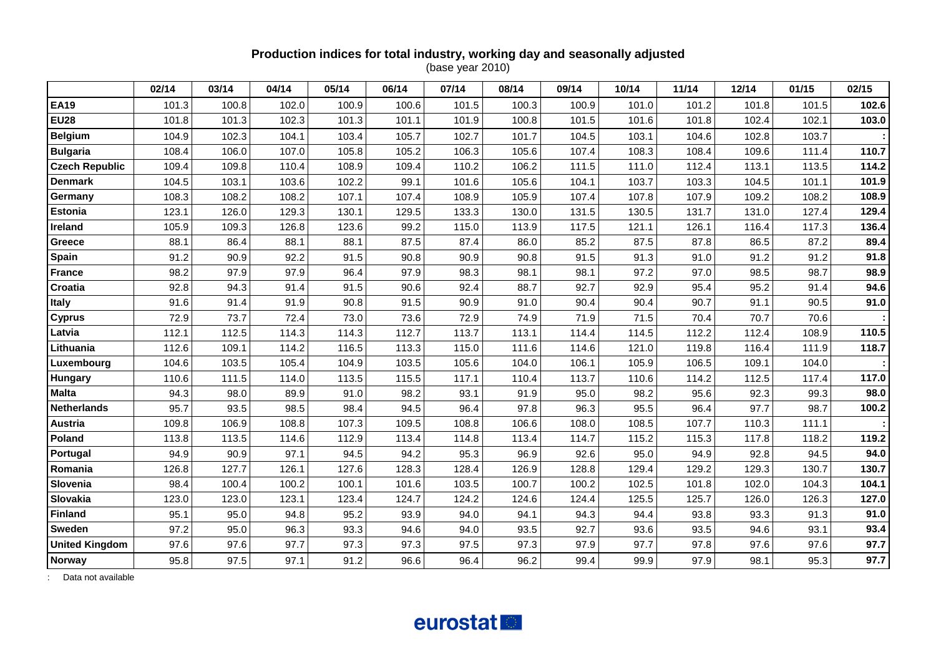#### **Production indices for total industry, working day and seasonally adjusted** (base year 2010)

|                       | 02/14 | 03/14 | 04/14 | 05/14 | 06/14 | 07/14 | 08/14 | 09/14 | 10/14 | 11/14 | 12/14 | 01/15 | 02/15 |
|-----------------------|-------|-------|-------|-------|-------|-------|-------|-------|-------|-------|-------|-------|-------|
| <b>EA19</b>           | 101.3 | 100.8 | 102.0 | 100.9 | 100.6 | 101.5 | 100.3 | 100.9 | 101.0 | 101.2 | 101.8 | 101.5 | 102.6 |
| <b>EU28</b>           | 101.8 | 101.3 | 102.3 | 101.3 | 101.1 | 101.9 | 100.8 | 101.5 | 101.6 | 101.8 | 102.4 | 102.1 | 103.0 |
| <b>Belgium</b>        | 104.9 | 102.3 | 104.1 | 103.4 | 105.7 | 102.7 | 101.7 | 104.5 | 103.1 | 104.6 | 102.8 | 103.7 |       |
| <b>Bulgaria</b>       | 108.4 | 106.0 | 107.0 | 105.8 | 105.2 | 106.3 | 105.6 | 107.4 | 108.3 | 108.4 | 109.6 | 111.4 | 110.7 |
| <b>Czech Republic</b> | 109.4 | 109.8 | 110.4 | 108.9 | 109.4 | 110.2 | 106.2 | 111.5 | 111.0 | 112.4 | 113.1 | 113.5 | 114.2 |
| <b>Denmark</b>        | 104.5 | 103.1 | 103.6 | 102.2 | 99.1  | 101.6 | 105.6 | 104.1 | 103.7 | 103.3 | 104.5 | 101.1 | 101.9 |
| Germany               | 108.3 | 108.2 | 108.2 | 107.1 | 107.4 | 108.9 | 105.9 | 107.4 | 107.8 | 107.9 | 109.2 | 108.2 | 108.9 |
| <b>Estonia</b>        | 123.1 | 126.0 | 129.3 | 130.1 | 129.5 | 133.3 | 130.0 | 131.5 | 130.5 | 131.7 | 131.0 | 127.4 | 129.4 |
| Ireland               | 105.9 | 109.3 | 126.8 | 123.6 | 99.2  | 115.0 | 113.9 | 117.5 | 121.1 | 126.1 | 116.4 | 117.3 | 136.4 |
| Greece                | 88.1  | 86.4  | 88.1  | 88.1  | 87.5  | 87.4  | 86.0  | 85.2  | 87.5  | 87.8  | 86.5  | 87.2  | 89.4  |
| Spain                 | 91.2  | 90.9  | 92.2  | 91.5  | 90.8  | 90.9  | 90.8  | 91.5  | 91.3  | 91.0  | 91.2  | 91.2  | 91.8  |
| <b>France</b>         | 98.2  | 97.9  | 97.9  | 96.4  | 97.9  | 98.3  | 98.1  | 98.1  | 97.2  | 97.0  | 98.5  | 98.7  | 98.9  |
| Croatia               | 92.8  | 94.3  | 91.4  | 91.5  | 90.6  | 92.4  | 88.7  | 92.7  | 92.9  | 95.4  | 95.2  | 91.4  | 94.6  |
| <b>Italy</b>          | 91.6  | 91.4  | 91.9  | 90.8  | 91.5  | 90.9  | 91.0  | 90.4  | 90.4  | 90.7  | 91.1  | 90.5  | 91.0  |
| <b>Cyprus</b>         | 72.9  | 73.7  | 72.4  | 73.0  | 73.6  | 72.9  | 74.9  | 71.9  | 71.5  | 70.4  | 70.7  | 70.6  |       |
| Latvia                | 112.1 | 112.5 | 114.3 | 114.3 | 112.7 | 113.7 | 113.1 | 114.4 | 114.5 | 112.2 | 112.4 | 108.9 | 110.5 |
| Lithuania             | 112.6 | 109.1 | 114.2 | 116.5 | 113.3 | 115.0 | 111.6 | 114.6 | 121.0 | 119.8 | 116.4 | 111.9 | 118.7 |
| Luxembourg            | 104.6 | 103.5 | 105.4 | 104.9 | 103.5 | 105.6 | 104.0 | 106.1 | 105.9 | 106.5 | 109.1 | 104.0 |       |
| <b>Hungary</b>        | 110.6 | 111.5 | 114.0 | 113.5 | 115.5 | 117.1 | 110.4 | 113.7 | 110.6 | 114.2 | 112.5 | 117.4 | 117.0 |
| <b>Malta</b>          | 94.3  | 98.0  | 89.9  | 91.0  | 98.2  | 93.1  | 91.9  | 95.0  | 98.2  | 95.6  | 92.3  | 99.3  | 98.0  |
| <b>Netherlands</b>    | 95.7  | 93.5  | 98.5  | 98.4  | 94.5  | 96.4  | 97.8  | 96.3  | 95.5  | 96.4  | 97.7  | 98.7  | 100.2 |
| <b>Austria</b>        | 109.8 | 106.9 | 108.8 | 107.3 | 109.5 | 108.8 | 106.6 | 108.0 | 108.5 | 107.7 | 110.3 | 111.1 |       |
| Poland                | 113.8 | 113.5 | 114.6 | 112.9 | 113.4 | 114.8 | 113.4 | 114.7 | 115.2 | 115.3 | 117.8 | 118.2 | 119.2 |
| Portugal              | 94.9  | 90.9  | 97.1  | 94.5  | 94.2  | 95.3  | 96.9  | 92.6  | 95.0  | 94.9  | 92.8  | 94.5  | 94.0  |
| Romania               | 126.8 | 127.7 | 126.1 | 127.6 | 128.3 | 128.4 | 126.9 | 128.8 | 129.4 | 129.2 | 129.3 | 130.7 | 130.7 |
| Slovenia              | 98.4  | 100.4 | 100.2 | 100.1 | 101.6 | 103.5 | 100.7 | 100.2 | 102.5 | 101.8 | 102.0 | 104.3 | 104.1 |
| Slovakia              | 123.0 | 123.0 | 123.1 | 123.4 | 124.7 | 124.2 | 124.6 | 124.4 | 125.5 | 125.7 | 126.0 | 126.3 | 127.0 |
| <b>Finland</b>        | 95.1  | 95.0  | 94.8  | 95.2  | 93.9  | 94.0  | 94.1  | 94.3  | 94.4  | 93.8  | 93.3  | 91.3  | 91.0  |
| <b>Sweden</b>         | 97.2  | 95.0  | 96.3  | 93.3  | 94.6  | 94.0  | 93.5  | 92.7  | 93.6  | 93.5  | 94.6  | 93.1  | 93.4  |
| <b>United Kingdom</b> | 97.6  | 97.6  | 97.7  | 97.3  | 97.3  | 97.5  | 97.3  | 97.9  | 97.7  | 97.8  | 97.6  | 97.6  | 97.7  |
| Norway                | 95.8  | 97.5  | 97.1  | 91.2  | 96.6  | 96.4  | 96.2  | 99.4  | 99.9  | 97.9  | 98.1  | 95.3  | 97.7  |